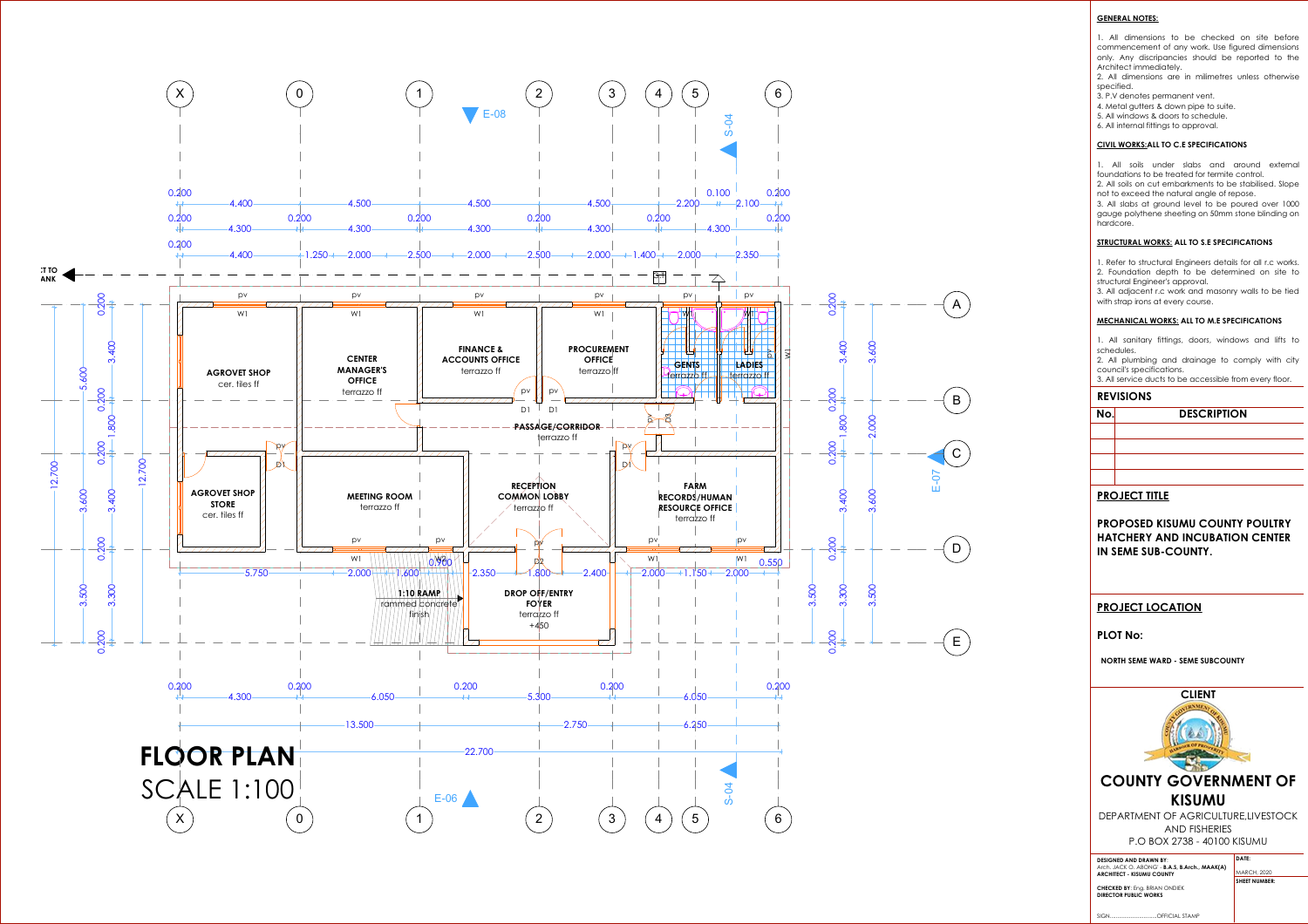### **GENERAL NOTES:**

1. All dimensions to be checked on site before commencement of any work. Use figured dimensions only. Any discripancies should be reported to the Architect immediately.

2. All dimensions are in milimetres unless otherwise specified.

3. P.V denotes permanent vent.

3. All adjacent r.c work and masonry walls to be tied with strap irons at every course.

4. Metal gutters & down pipe to suite.

5. All windows & doors to schedule.

6. All internal fittings to approval.

### **CIVIL WORKS:ALL TO C.E SPECIFICATIONS**

1. All soils under slabs and around external foundations to be treated for termite control.



2. All soils on cut embarkments to be stabilised. Slope not to exceed the natural angle of repose.

3. All slabs at ground level to be poured over 1000 gauge polythene sheeting on 50mm stone blinding on hardcore.

### **STRUCTURAL WORKS: ALL TO S.E SPECIFICATIONS**

1. Refer to structural Engineers details for all r.c works. 2. Foundation depth to be determined on site to structural Engineer's approval.

### **MECHANICAL WORKS: ALL TO M.E SPECIFICATIONS**

1. All sanitary fittings, doors, windows and lifts to schedules.

2. All plumbing and drainage to comply with city council's specifications.

3. All service ducts to be accessible from every floor.

### **REVISIONS**

# **No. DESCRIPTION**

# **PROJECT TITLE**

**PROPOSED KISUMU COUNTY POULTRY HATCHERY AND INCUBATION CENTER IN SEME SUB-COUNTY.**

# **PROJECT LOCATION**

### **PLOT No:**

**NORTH SEME WARD - SEME SUBCOUNTY** 



GSPUblisherVersion 0.4.100.1000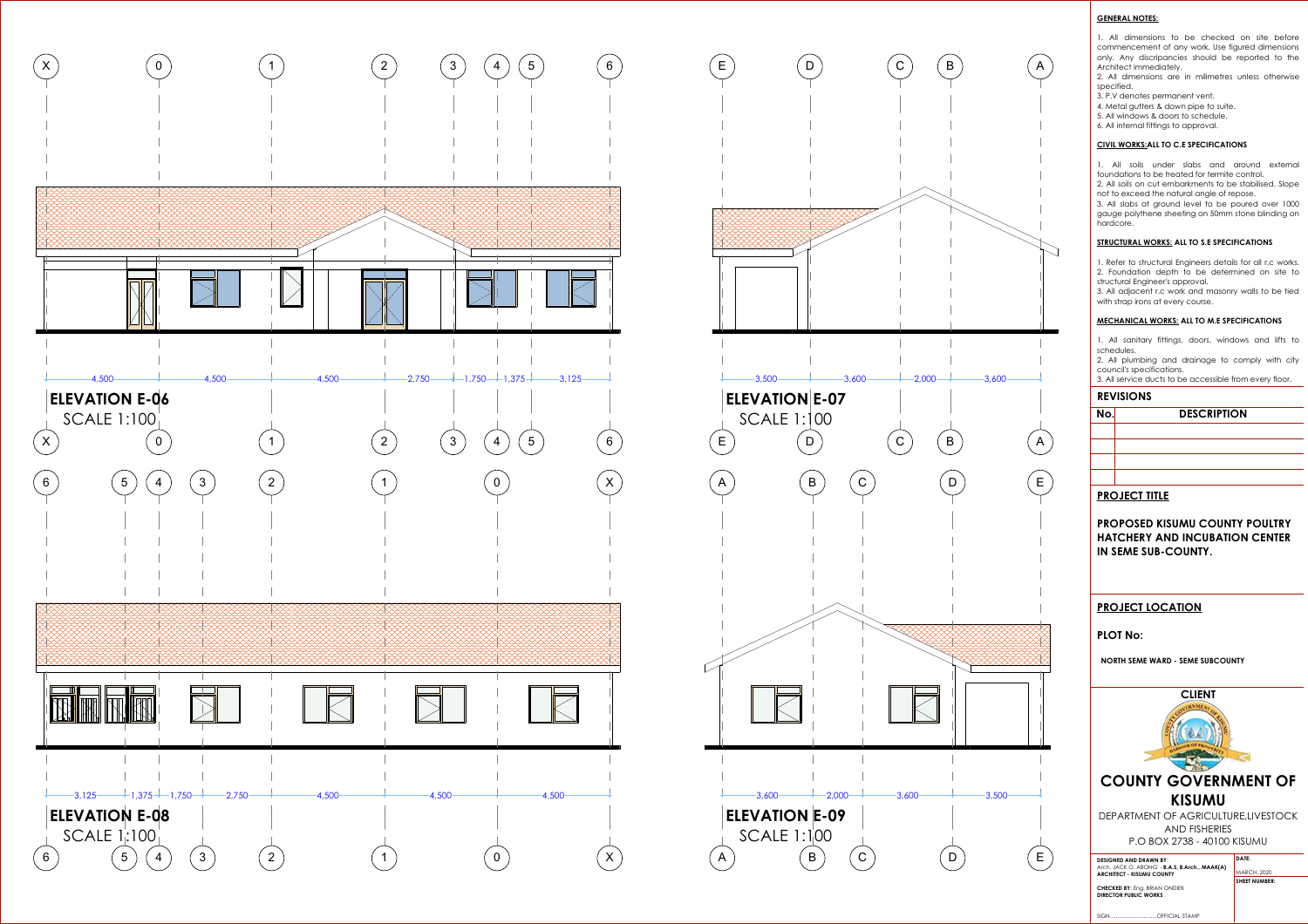### **GENERAL NOTES:**

1. All dimensions to be checked on site before commencement of any work. Use figured dimensions only. Any discripancies should be reported to the Architect immediately.

2. All dimensions are in milimetres unless otherwise specified.

- 3. P.V denotes permanent vent.
- 4. Metal gutters & down pipe to suite.
- 5. All windows & doors to schedule.
- 6. All internal fittings to approval.

### **CIVIL WORKS:ALL TO C.E SPECIFICATIONS**

1. All soils under slabs and around external foundations to be treated for termite control.



2. All soils on cut embarkments to be stabilised. Slope not to exceed the natural angle of repose.

3. All slabs at ground level to be poured over 1000 gauge polythene sheeting on 50mm stone blinding on hardcore.

#### **STRUCTURAL WORKS: ALL TO S.E SPECIFICATIONS**

1. Refer to structural Engineers details for all r.c works. 2. Foundation depth to be determined on site to structural Engineer's approval.

3. All adjacent r.c work and masonry walls to be tied with strap irons at every course.

#### **MECHANICAL WORKS: ALL TO M.E SPECIFICATIONS**

1. All sanitary fittings, doors, windows and lifts to schedules.

2. All plumbing and drainage to comply with city council's specifications.

3. All service ducts to be accessible from every floor.

### **REVISIONS**

**No.** 

| <b>DESCRIPTION</b> |  |  |
|--------------------|--|--|
|                    |  |  |
|                    |  |  |
|                    |  |  |

### **PROJECT TITLE**

**PROPOSED KISUMU COUNTY POULTRY HATCHERY AND INCUBATION CENTER IN SEME SUB-COUNTY.**

## **PROJECT LOCATION**

### **PLOT No:**

**NORTH SEME WARD - SEME SUBCOUNTY** 



GSPUblisherVersion 0.4.100.1000